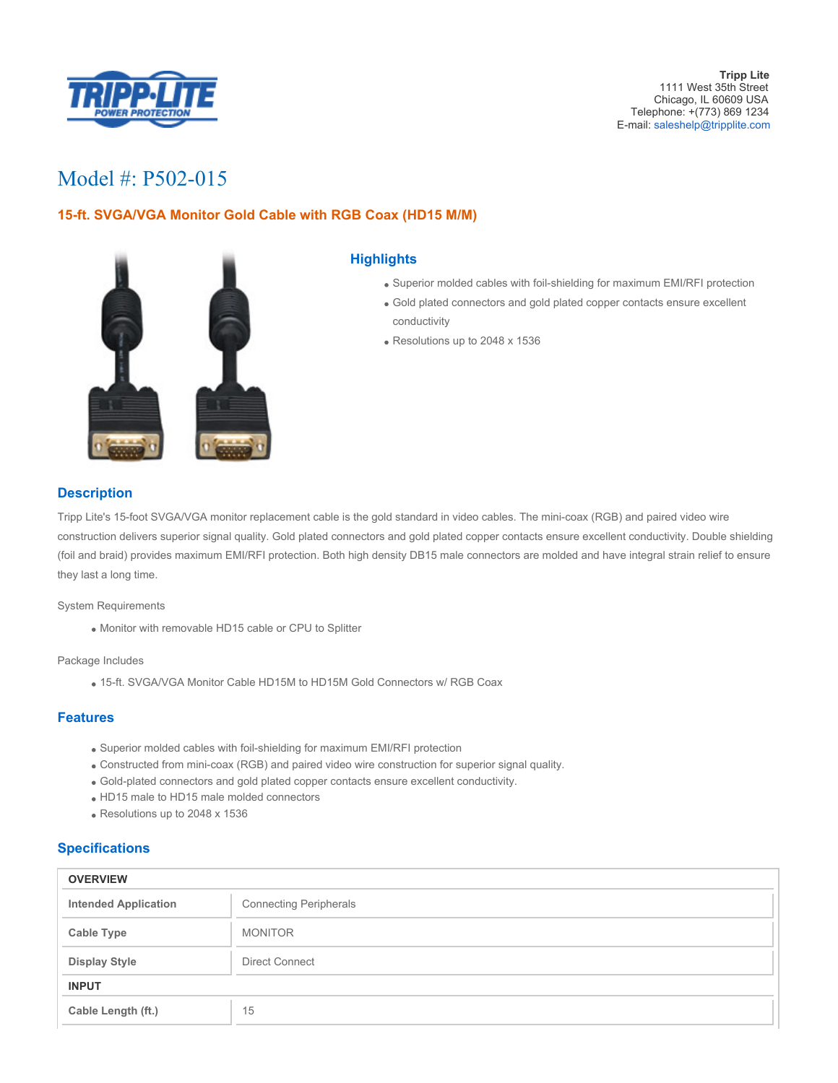

**Tripp Lite** 1111 West 35th Street Chicago, IL 60609 USA Telephone: +(773) 869 1234 E-mail: [saleshelp@tripplite.com](mailto:saleshelp@tripplite.com)

# Model #: P502-015

## **15-ft. SVGA/VGA Monitor Gold Cable with RGB Coax (HD15 M/M)**



### **Highlights**

- Superior molded cables with foil-shielding for maximum EMI/RFI protection
- Gold plated connectors and gold plated copper contacts ensure excellent conductivity
- Resolutions up to 2048 x 1536

## **Description**

Tripp Lite's 15-foot SVGA/VGA monitor replacement cable is the gold standard in video cables. The mini-coax (RGB) and paired video wire construction delivers superior signal quality. Gold plated connectors and gold plated copper contacts ensure excellent conductivity. Double shielding (foil and braid) provides maximum EMI/RFI protection. Both high density DB15 male connectors are molded and have integral strain relief to ensure they last a long time.

System Requirements

Monitor with removable HD15 cable or CPU to Splitter

Package Includes

15-ft. SVGA/VGA Monitor Cable HD15M to HD15M Gold Connectors w/ RGB Coax

#### **Features**

- Superior molded cables with foil-shielding for maximum EMI/RFI protection
- Constructed from mini-coax (RGB) and paired video wire construction for superior signal quality.
- Gold-plated connectors and gold plated copper contacts ensure excellent conductivity.
- HD15 male to HD15 male molded connectors
- Resolutions up to 2048 x 1536

#### **Specifications**

| <b>OVERVIEW</b>             |                               |  |
|-----------------------------|-------------------------------|--|
| <b>Intended Application</b> | <b>Connecting Peripherals</b> |  |
| <b>Cable Type</b>           | <b>MONITOR</b>                |  |
| <b>Display Style</b>        | <b>Direct Connect</b>         |  |
| <b>INPUT</b>                |                               |  |
| Cable Length (ft.)          | 15                            |  |